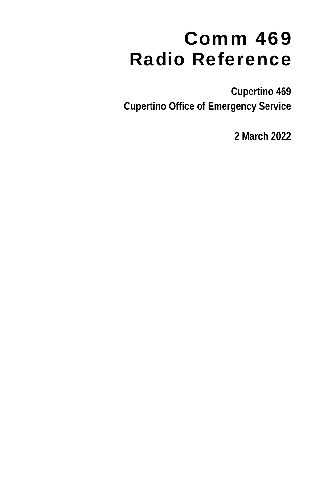# Comm 469 Radio Reference

**Cupertino 469 Cupertino Office of Emergency Service** 

**2 March 2022**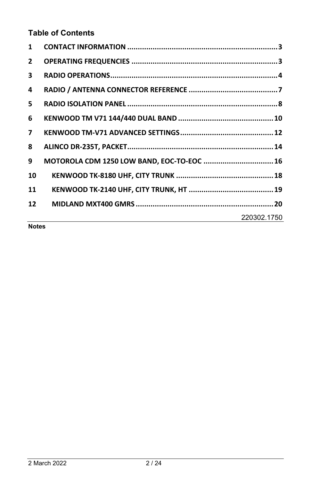# **Table of Contents**

| 1            |                                            |
|--------------|--------------------------------------------|
| $\mathbf{2}$ |                                            |
| 3            |                                            |
| 4            |                                            |
| 5.           |                                            |
| 6            |                                            |
| $\mathbf{7}$ |                                            |
| 8            |                                            |
| 9            | MOTOROLA CDM 1250 LOW BAND, EOC-TO-EOC  16 |
| 10           |                                            |
| 11           |                                            |
| 12           |                                            |
|              | 220302.1750                                |

**Notes**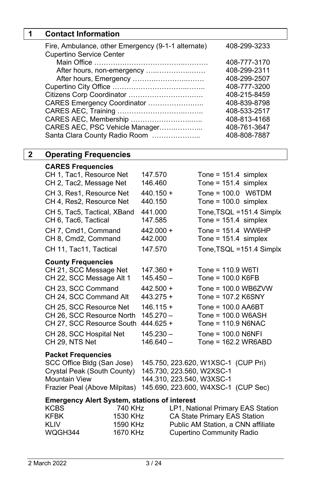# **1 Contact Information**

| Fire, Ambulance, other Emergency (9-1-1 alternate)<br><b>Cupertino Service Center</b> | 408-299-3233 |
|---------------------------------------------------------------------------------------|--------------|
|                                                                                       | 408-777-3170 |
| After hours, non-emergency                                                            | 408-299-2311 |
| After hours, Emergency                                                                | 408-299-2507 |
|                                                                                       | 408-777-3200 |
|                                                                                       | 408-215-8459 |
| CARES Emergency Coordinator                                                           | 408-839-8798 |
|                                                                                       | 408-533-2517 |
| CARES AEC, Membership                                                                 | 408-813-4168 |
| CARES AEC, PSC Vehicle Manager                                                        | 408-761-3647 |
| Santa Clara County Radio Room                                                         | 408-808-7887 |

# **2 Operating Frequencies**

#### **CARES Frequencies**

| CH 1, Tac1, Resource Net<br>CH 2, Tac2, Message Net  | 147.570<br>146.460         |                                     | Tone = $151.4$ simplex<br>Tone = $151.4$ simplex    |
|------------------------------------------------------|----------------------------|-------------------------------------|-----------------------------------------------------|
| CH 3, Res1, Resource Net<br>CH 4, Res2, Resource Net | $440.150 +$<br>440.150     | Tone = $100.0$ simplex              | Tone = $100.0$ W6TDM                                |
| CH 5, Tac5, Tactical, XBand<br>CH 6, Tac6, Tactical  | 441.000<br>147.585         |                                     | Tone, TSQL = 151.4 Simplx<br>Tone = $151.4$ simplex |
| CH 7, Cmd1, Command<br>CH 8, Cmd2, Command           | $442.000 +$<br>442.000     |                                     | Tone = $151.4$ WW6HP<br>Tone = $151.4$ simplex      |
| CH 11, Tac11, Tactical                               | 147.570                    |                                     | Tone, TSQL = 151.4 Simplx                           |
| <b>County Frequencies</b>                            |                            |                                     |                                                     |
| CH 21, SCC Message Net                               | 147.360 +                  | $Tone = 110.9 W6T1$                 |                                                     |
| CH 22, SCC Message Alt 1                             | $145.450 -$                | Tone = $100.0$ K6FB                 |                                                     |
| CH 23, SCC Command<br>CH 24, SCC Command Alt         | $442.500 +$<br>$443.275 +$ | Tone = 107.2 K6SNY                  | Tone = $100.0$ WB6ZVW                               |
| CH 25. SCC Resource Net                              | $146.115 +$                | Tone = $100.0$ AA6BT                |                                                     |
| CH 26, SCC Resource North                            | $145.270 -$                | Tone = 100.0 W6ASH                  |                                                     |
| CH 27, SCC Resource South                            | $444.625 +$                | Tone = $110.9$ N6NAC                |                                                     |
| CH 28, SCC Hospital Net                              | $145.230 -$                | Tone = $100.0$ N6NFI                |                                                     |
| CH 29. NTS Net                                       | $146.640 -$                |                                     | Tone = $162.2$ WR6ABD                               |
| <b>Packet Frequencies</b>                            |                            |                                     |                                                     |
| SCC Office Bldg (San Jose)                           |                            | 145.750, 223.620, W1XSC-1 (CUP Pri) |                                                     |
| Crystal Peak (South County)                          |                            | 145.730, 223.560, W2XSC-1           |                                                     |
| <b>Mountain View</b>                                 |                            | 144.310, 223.540, W3XSC-1           |                                                     |
| Frazier Peal (Above Milpitas)                        |                            | 145.690, 223.600, W4XSC-1 (CUP Sec) |                                                     |
| <b>Emergency Alert System, stations of interest</b>  |                            |                                     |                                                     |
| <b>KCBS</b>                                          | 740 KHz                    | LP1, National Primary EAS Station   |                                                     |
| <b>KFBK</b>                                          | 1530 KHz                   | CA State Primary EAS Station        |                                                     |
| KLIV                                                 | 1590 KHz                   | Public AM Station, a CNN affiliate  |                                                     |

KLIV 1590 KHz Public AM Station, a CNN affiliate<br>
WQGH344 1670 KHz Cupertino Community Radio

1670 KHz Cupertino Community Radio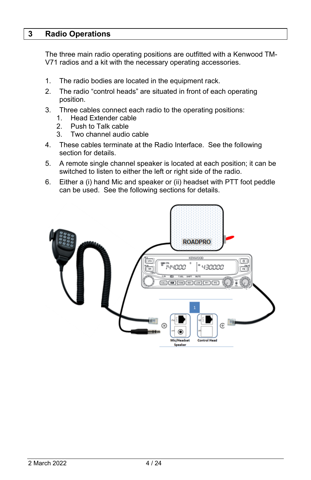# **3 Radio Operations**

The three main radio operating positions are outfitted with a Kenwood TM-V71 radios and a kit with the necessary operating accessories.

- 1. The radio bodies are located in the equipment rack.
- 2. The radio "control heads" are situated in front of each operating position.
- 3. Three cables connect each radio to the operating positions:
	- 1. Head Extender cable
	- 2. Push to Talk cable
	- 3. Two channel audio cable
- 4. These cables terminate at the Radio Interface. See the following section for details.
- 5. A remote single channel speaker is located at each position; it can be switched to listen to either the left or right side of the radio.
- 6. Either a (i) hand Mic and speaker or (ii) headset with PTT foot peddle can be used. See the following sections for details.

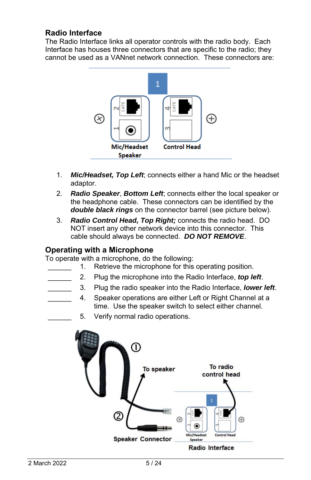# **Radio Interface**

The Radio Interface links all operator controls with the radio body. Each Interface has houses three connectors that are specific to the radio; they cannot be used as a VANnet network connection. These connectors are:



- 1. *Mic/Headset, Top Left*; connects either a hand Mic or the headset adaptor.
- 2. *Radio Speaker*, *Bottom Left*; connects either the local speaker or the headphone cable. These connectors can be identified by the *double black rings* on the connector barrel (see picture below).
- 3. *Radio Control Head, Top Right;* connects the radio head. DO NOT insert any other network device into this connector. This cable should always be connected. *DO NOT REMOVE*.

## **Operating with a Microphone**

To operate with a microphone, do the following:

- 1. Retrieve the microphone for this operating position.
	- \_\_\_\_\_\_ 2. Plug the microphone into the Radio Interface, *top left*.
- \_\_\_\_\_\_ 3. Plug the radio speaker into the Radio Interface, *lower left*.
- 4. Speaker operations are either Left or Right Channel at a time. Use the speaker switch to select either channel.
	- 5. Verify normal radio operations.

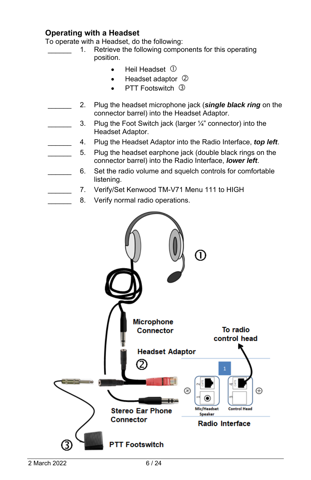# **Operating with a Headset**

To operate with a Headset, do the following:

- 1. Retrieve the following components for this operating position.
	- $\bullet$  Heil Headset  $\circledR$
	- Headset adaptor 2
	- PTT Footswitch 3
- 2. Plug the headset microphone jack (*single black ring* on the connector barrel) into the Headset Adaptor.
- 3. Plug the Foot Switch jack (larger  $\frac{1}{4}$ " connector) into the Headset Adaptor.
	- \_\_\_\_\_\_ 4. Plug the Headset Adaptor into the Radio Interface, *top left*.
	- 5. Plug the headset earphone jack (double black rings on the connector barrel) into the Radio Interface, *lower left*.
- 6. Set the radio volume and squelch controls for comfortable listening.
	- 7. Verify/Set Kenwood TM-V71 Menu 111 to HIGH
	- 8. Verify normal radio operations.

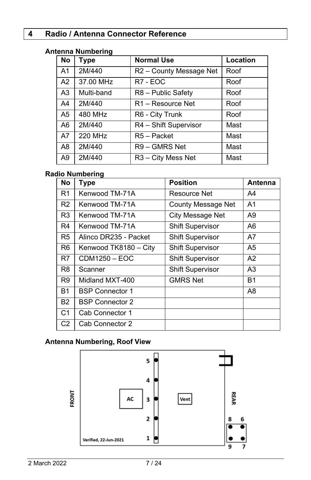# **4 Radio / Antenna Connector Reference**

# **Antenna Numbering**

| No             | <b>Type</b> | <b>Normal Use</b>              | Location |
|----------------|-------------|--------------------------------|----------|
| A <sub>1</sub> | 2M/440      | R2 - County Message Net        | Roof     |
| A2             | 37.00 MHz   | R7 - EOC                       | Roof     |
| A <sub>3</sub> | Multi-band  | R8 - Public Safety             | Roof     |
| A4             | 2M/440      | R1 - Resource Net              | Roof     |
| A <sub>5</sub> | 480 MHz     | R6 - City Trunk                | Roof     |
| A6             | 2M/440      | R4 - Shift Supervisor          | Mast     |
| A7             | 220 MHz     | R5 - Packet                    | Mast     |
| A <sub>8</sub> | 2M/440      | R9 - GMRS Net                  | Mast     |
| A9             | 2M/440      | R <sub>3</sub> – City Mess Net | Mast     |

# **Radio Numbering**

| <b>No</b>      | <b>Type</b>            | <b>Position</b>         |                |  |  |
|----------------|------------------------|-------------------------|----------------|--|--|
| R <sub>1</sub> | Kenwood TM-71A         | Resource Net            | A4             |  |  |
| R <sub>2</sub> | Kenwood TM-71A         | County Message Net      | A <sub>1</sub> |  |  |
| R <sub>3</sub> | Kenwood TM-71A         | City Message Net        | A9             |  |  |
| R4             | Kenwood TM-71A         | <b>Shift Supervisor</b> | A6             |  |  |
| R <sub>5</sub> | Alinco DR235 - Packet  | <b>Shift Supervisor</b> | A7             |  |  |
| R <sub>6</sub> | Kenwood TK8180 - City  | <b>Shift Supervisor</b> | A5             |  |  |
| R7             | $CDM1250 - EOC$        | <b>Shift Supervisor</b> | A2             |  |  |
| R8             | Scanner                | <b>Shift Supervisor</b> | A3             |  |  |
| R <sub>9</sub> | Midland MXT-400        | <b>GMRS Net</b>         | <b>B1</b>      |  |  |
| <b>B1</b>      | <b>BSP Connector 1</b> |                         | A8             |  |  |
| <b>B2</b>      | <b>BSP Connector 2</b> |                         |                |  |  |
| C <sub>1</sub> | Cab Connector 1        |                         |                |  |  |
| C <sub>2</sub> | Cab Connector 2        |                         |                |  |  |

# **Antenna Numbering, Roof View**

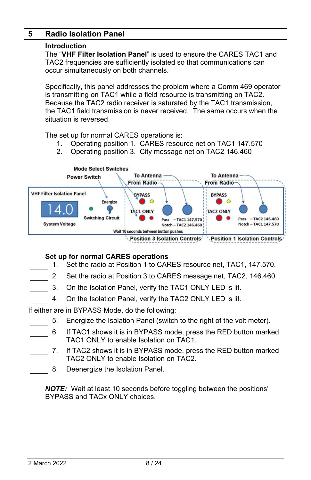# **5 Radio Isolation Panel**

#### **Introduction**

The "**VHF Filter Isolation Panel**" is used to ensure the CARES TAC1 and TAC2 frequencies are sufficiently isolated so that communications can occur simultaneously on both channels.

Specifically, this panel addresses the problem where a Comm 469 operator is transmitting on TAC1 while a field resource is transmitting on TAC2. Because the TAC2 radio receiver is saturated by the TAC1 transmission, the TAC1 field transmission is never received. The same occurs when the situation is reversed.

The set up for normal CARES operations is:

- 1. Operating position 1. CARES resource net on TAC1 147.570
- 2. Operating position 3. City message net on TAC2 146.460



#### **Set up for normal CARES operations**

- 1. Set the radio at Position 1 to CARES resource net, TAC1, 147.570.
- 2. Set the radio at Position 3 to CARES message net, TAC2, 146.460.
- 3. On the Isolation Panel, verify the TAC1 ONLY LED is lit.
- 4. On the Isolation Panel, verify the TAC2 ONLY LED is lit.

If either are in BYPASS Mode, do the following:

- 5. Energize the Isolation Panel (switch to the right of the volt meter).
- 6. If TAC1 shows it is in BYPASS mode, press the RED button marked TAC1 ONLY to enable Isolation on TAC1.
- 7. If TAC2 shows it is in BYPASS mode, press the RED button marked TAC2 ONLY to enable Isolation on TAC2.
	- 8. Deenergize the Isolation Panel.

*NOTE:* Wait at least 10 seconds before toggling between the positions' BYPASS and TACx ONLY choices.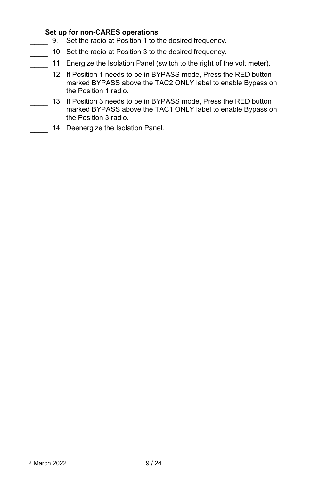### **Set up for non-CARES operations**

- 9. Set the radio at Position 1 to the desired frequency.
- 10. Set the radio at Position 3 to the desired frequency.
- 11. Energize the Isolation Panel (switch to the right of the volt meter).
- 12. If Position 1 needs to be in BYPASS mode, Press the RED button marked BYPASS above the TAC2 ONLY label to enable Bypass on the Position 1 radio.
	- 13. If Position 3 needs to be in BYPASS mode, Press the RED button marked BYPASS above the TAC1 ONLY label to enable Bypass on the Position 3 radio.
- 14. Deenergize the Isolation Panel.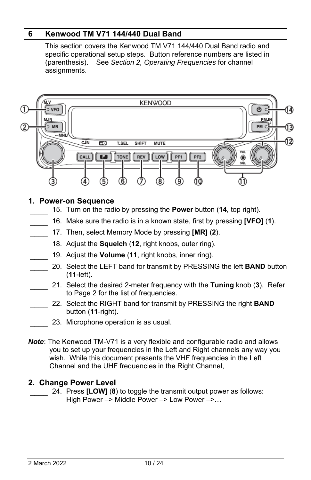# **6 Kenwood TM V71 144/440 Dual Band**

This section covers the Kenwood TM V71 144/440 Dual Band radio and specific operational setup steps. Button reference numbers are listed in (parenthesis). See *Section 2, Operating Frequencies* for channel assignments.



# **1. Power-on Sequence**

- \_\_\_\_ 15. Turn on the radio by pressing the **Power** button (**14**, top right).
- \_\_\_\_ 16. Make sure the radio is in a known state, first by pressing **[VFO]** (**1**).
	- \_\_\_\_ 17. Then, select Memory Mode by pressing **[MR]** (**2**).
	- \_\_\_\_ 18. Adjust the **Squelch** (**12**, right knobs, outer ring).
	- \_\_\_\_ 19. Adjust the **Volume** (**11**, right knobs, inner ring).
		- \_\_\_\_ 20. Select the LEFT band for transmit by PRESSING the left **BAND** button (**11**-left).
	- \_\_\_\_ 21. Select the desired 2-meter frequency with the **Tuning** knob (**3**). Refer to Page 2 for the list of frequencies.
	- \_\_\_\_ 22. Select the RIGHT band for transmit by PRESSING the right **BAND** button (**11**-right).
	- 23. Microphone operation is as usual.
- *Note*: The Kenwood TM-V71 is a very flexible and configurable radio and allows you to set up your frequencies in the Left and Right channels any way you wish. While this document presents the VHF frequencies in the Left Channel and the UHF frequencies in the Right Channel,

## **2. Change Power Level**

\_\_\_\_ 24. Press **[LOW]** (**8**) to toggle the transmit output power as follows: High Power –> Middle Power –> Low Power –>…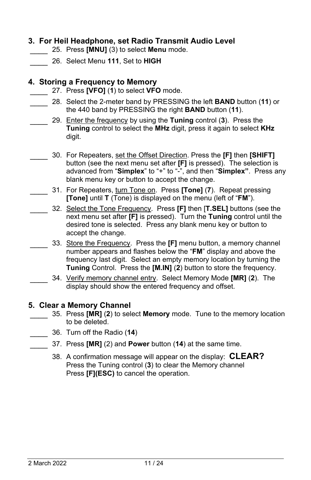# **3. For Heil Headphone, set Radio Transmit Audio Level**

- \_\_\_\_ 25. Press **[MNU]** (3) to select **Menu** mode.
- \_\_\_\_ 26. Select Menu **111**, Set to **HIGH**

# **4. Storing a Frequency to Memory**

- \_\_\_\_ 27. Press **[VFO]** (**1**) to select **VFO** mode.
- \_\_\_\_ 28. Select the 2-meter band by PRESSING the left **BAND** button (**11**) or the 440 band by PRESSING the right **BAND** button (**11**).
- \_\_\_\_ 29. Enter the frequency by using the **Tuning** control (**3**). Press the **Tuning** control to select the **MHz** digit, press it again to select **KHz** digit.
	- \_\_\_\_ 30. For Repeaters, set the Offset Direction. Press the **[F]** then **[SHIFT]** button (see the next menu set after **[F]** is pressed). The selection is advanced from "**Simplex**" to "+" to "-", and then "**Simplex"**. Press any blank menu key or button to accept the change.
- \_\_\_\_ 31. For Repeaters, turn Tone on. Press **[Tone]** (**7**). Repeat pressing **[Tone]** until **T** (Tone) is displayed on the menu (left of "**FM**").
	- \_\_\_\_ 32. Select the Tone Frequency. Press **[F]** then [**T.SEL]** buttons (see the next menu set after **[F]** is pressed). Turn the **Tuning** control until the desired tone is selected. Press any blank menu key or button to accept the change.
		- \_\_\_\_ 33. Store the Frequency. Press the **[F]** menu button, a memory channel number appears and flashes below the "**FM**" display and above the frequency last digit. Select an empty memory location by turning the **Tuning** Control. Press the **[M.IN]** (**2**) button to store the frequency.
- \_\_\_\_ 34. Verify memory channel entry. Select Memory Mode **[MR]** (**2**). The display should show the entered frequency and offset.

## **5. Clear a Memory Channel**

- \_\_\_\_ 35. Press **[MR]** (**2**) to select **Memory** mode. Tune to the memory location to be deleted.
- \_\_\_\_ 36. Turn off the Radio (**14**)
	- \_\_\_\_ 37. Press **[MR]** (2) and **Power** button (**14**) at the same time.
		- 38. A confirmation message will appear on the display: **CLEAR?**  Press the Tuning control (**3**) to clear the Memory channel Press **[F](ESC)** to cancel the operation.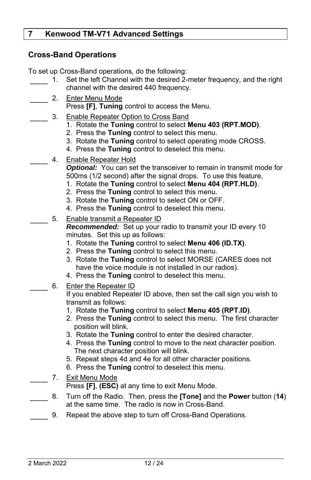# **7 Kenwood TM-V71 Advanced Settings**

# **Cross-Band Operations**

To set up Cross-Band operations, do the following:

- 1. Set the left Channel with the desired 2-meter frequency, and the right channel with the desired 440 frequency.
	- 2. Enter Menu Mode
		- Press **[F]**, **Tuning** control to access the Menu.
		- 3. Enable Repeater Option to Cross Band
			- 1. Rotate the **Tuning** control to select **Menu 403 (RPT.MOD)**.
			- 2. Press the **Tuning** control to select this menu.
			- 3. Rotate the **Tuning** control to select operating mode CROSS.
			- 4. Press the **Tuning** control to deselect this menu.
- 4. Enable Repeater Hold

**Optional:** You can set the transceiver to remain in transmit mode for 500ms (1/2 second) after the signal drops. To use this feature,

- 1. Rotate the **Tuning** control to select **Menu 404 (RPT.HLD)**.
- 2. Press the **Tuning** control to select this menu.
- 3. Rotate the **Tuning** control to select ON or OFF.
- 4. Press the **Tuning** control to deselect this menu.
- 5. Enable transmit a Repeater ID

*Recommended:* Set up your radio to transmit your ID every 10 minutes. Set this up as follows:

- 1. Rotate the **Tuning** control to select **Menu 406 (ID.TX)**.
- 2. Press the **Tuning** control to select this menu.
- 3. Rotate the **Tuning** control to select MORSE (CARES does not have the voice module is not installed in our radios).
- 4. Press the **Tuning** control to deselect this menu.
- 6. Enter the Repeater ID

If you enabled Repeater ID above, then set the call sign you wish to transmit as follows:

- 1. Rotate the **Tuning** control to select **Menu 405 (RPT.ID)**.
- 2. Press the **Tuning** control to select this menu. The first character position will blink.
- 3. Rotate the **Tuning** control to enter the desired character.
- 4. Press the **Tuning** control to move to the next character position. The next character position will blink.
- 5. Repeat steps 4d and 4e for all other character positions.
- 6. Press the **Tuning** control to deselect this menu.
- \_\_\_\_ 7. Exit Menu Mode Press **[F]**, **(ESC)** at any time to exit Menu Mode.
- \_\_\_\_ 8. Turn off the Radio. Then, press the **[Tone]** and the **Power** button (**14**) at the same time. The radio is now in Cross-Band.
- 9. Repeat the above step to turn off Cross-Band Operations.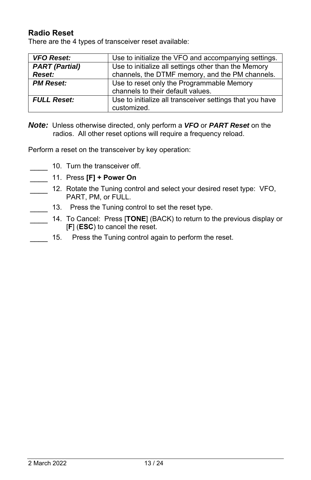# **Radio Reset**

There are the 4 types of transceiver reset available:

| <b>VFO Reset:</b>     | Use to initialize the VFO and accompanying settings.                    |  |  |
|-----------------------|-------------------------------------------------------------------------|--|--|
| <b>PART</b> (Partial) | Use to initialize all settings other than the Memory                    |  |  |
| Reset:                | channels, the DTMF memory, and the PM channels.                         |  |  |
| <b>PM Reset:</b>      | Use to reset only the Programmable Memory                               |  |  |
|                       | channels to their default values.                                       |  |  |
| <b>FULL Reset:</b>    | Use to initialize all transceiver settings that you have<br>customized. |  |  |

*Note:* Unless otherwise directed, only perform a *VFO* or *PART Reset* on the radios. All other reset options will require a frequency reload.

Perform a reset on the transceiver by key operation:

- 10. Turn the transceiver off.
- \_\_\_\_ 11. Press **[F] + Power On**
- 12. Rotate the Tuning control and select your desired reset type: VFO, PART, PM, or FULL.
- 13. Press the Tuning control to set the reset type.
	- 14. To Cancel: Press [TONE] (BACK) to return to the previous display or [**F**] (**ESC**) to cancel the reset.
- 15. Press the Tuning control again to perform the reset.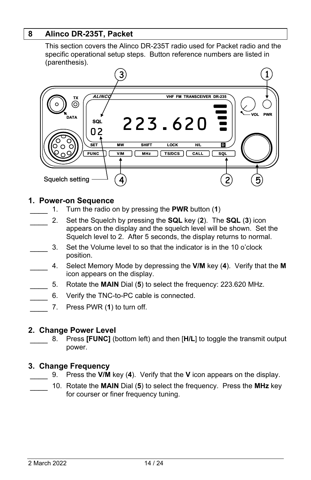# **8 Alinco DR-235T, Packet**

This section covers the Alinco DR-235T radio used for Packet radio and the specific operational setup steps. Button reference numbers are listed in (parenthesis).



#### **1. Power-on Sequence**

- \_\_\_\_ 1. Turn the radio on by pressing the **PWR** button (**1**)
- \_\_\_\_ 2. Set the Squelch by pressing the **SQL** key (**2**). The **SQL** (**3**) icon appears on the display and the squelch level will be shown. Set the Squelch level to 2. After 5 seconds, the display returns to normal.
	- \_\_\_\_ 3. Set the Volume level to so that the indicator is in the 10 o'clock position.
- \_\_\_\_ 4. Select Memory Mode by depressing the **V/M** key (**4**). Verify that the **M** icon appears on the display.
	- \_\_\_\_ 5. Rotate the **MAIN** Dial (**5**) to select the frequency: 223.620 MHz.
	- 6. Verify the TNC-to-PC cable is connected.
- \_\_\_\_ 7. Press PWR (**1**) to turn off.

#### **2. Change Power Level**

\_\_\_\_ 8. Press **[FUNC]** (bottom left) and then [**H/L**] to toggle the transmit output power.

#### **3. Change Frequency**

- \_\_\_\_ 9. Press the **V/M** key (**4**). Verify that the **V** icon appears on the display.
	- \_\_\_\_ 10. Rotate the **MAIN** Dial (**5**) to select the frequency. Press the **MHz** key for courser or finer frequency tuning.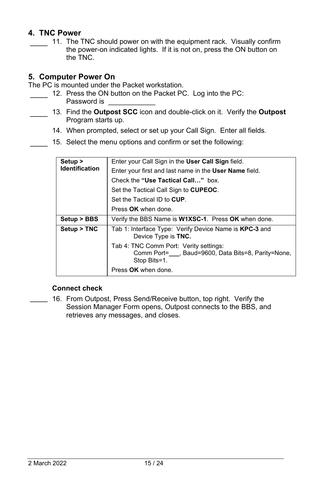# **4. TNC Power**

11. The TNC should power on with the equipment rack. Visually confirm the power-on indicated lights. If it is not on, press the ON button on the TNC.

# **5. Computer Power On**

The PC is mounted under the Packet workstation.

- 12. Press the ON button on the Packet PC. Log into the PC: Password is
- \_\_\_\_ 13. Find the **Outpost SCC** icon and double-click on it. Verify the **Outpost** Program starts up.
	- 14. When prompted, select or set up your Call Sign. Enter all fields.
	- 15. Select the menu options and confirm or set the following:

| Setup ><br><b>Identification</b> | Enter your Call Sign in the User Call Sign field.                                                          |
|----------------------------------|------------------------------------------------------------------------------------------------------------|
|                                  | Enter your first and last name in the User Name field.                                                     |
|                                  | Check the "Use Tactical Call" box.                                                                         |
|                                  | Set the Tactical Call Sign to CUPEOC.                                                                      |
|                                  | Set the Tactical ID to CUP.                                                                                |
|                                  | Press OK when done.                                                                                        |
| Setup > BBS                      | Verify the BBS Name is <b>W1XSC-1</b> . Press OK when done.                                                |
| Setup > TNC                      | Tab 1: Interface Type: Verify Device Name is KPC-3 and<br>Device Type is TNC.                              |
|                                  | Tab 4: TNC Comm Port: Verity settings:<br>Comm Port=, Baud=9600, Data Bits=8, Parity=None,<br>Stop Bits=1. |
|                                  | Press OK when done.                                                                                        |

## **Connect check**

\_\_\_\_ 16. From Outpost, Press Send/Receive button, top right. Verify the Session Manager Form opens, Outpost connects to the BBS, and retrieves any messages, and closes.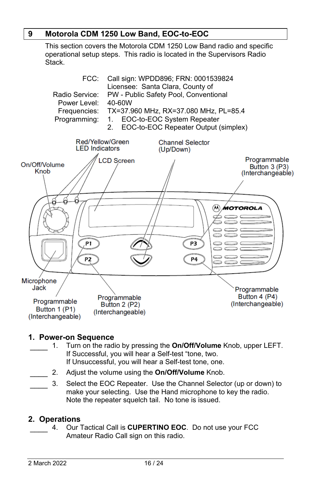# **9 Motorola CDM 1250 Low Band, EOC-to-EOC**

This section covers the Motorola CDM 1250 Low Band radio and specific operational setup steps. This radio is located in the Supervisors Radio Stack.



# **1. Power-on Sequence**

- \_\_\_\_ 1. Turn on the radio by pressing the **On/Off/Volume** Knob, upper LEFT. If Successful, you will hear a Self-test "tone, two. If Unsuccessful, you will hear a Self-test tone, one.
- \_\_\_\_ 2. Adjust the volume using the **On/Off/Volume** Knob.
- 3. Select the EOC Repeater. Use the Channel Selector (up or down) to make your selecting. Use the Hand microphone to key the radio. Note the repeater squelch tail. No tone is issued.

## **2. Operations**

\_\_\_\_ 4. Our Tactical Call is **CUPERTINO EOC**. Do not use your FCC Amateur Radio Call sign on this radio.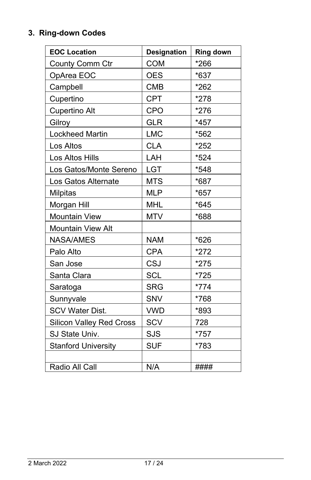# **3. Ring-down Codes**

| <b>EOC Location</b>             | <b>Designation</b> | <b>Ring down</b> |
|---------------------------------|--------------------|------------------|
| County Comm Ctr                 | <b>COM</b>         | *266             |
| OpArea EOC                      | <b>OES</b>         | *637             |
| Campbell                        | <b>CMB</b>         | *262             |
| Cupertino                       | <b>CPT</b>         | *278             |
| <b>Cupertino Alt</b>            | <b>CPO</b>         | $*276$           |
| Gilroy                          | <b>GLR</b>         | $*457$           |
| <b>Lockheed Martin</b>          | <b>LMC</b>         | *562             |
| Los Altos                       | <b>CLA</b>         | *252             |
| Los Altos Hills                 | LAH                | *524             |
| Los Gatos/Monte Sereno          | LGT                | $*548$           |
| Los Gatos Alternate             | <b>MTS</b>         | *687             |
| Milpitas                        | <b>MLP</b>         | *657             |
| Morgan Hill                     | <b>MHL</b>         | *645             |
| <b>Mountain View</b>            | <b>MTV</b>         | *688             |
| <b>Mountain View Alt</b>        |                    |                  |
| NASA/AMES                       | <b>NAM</b>         | $*626$           |
| Palo Alto                       | <b>CPA</b>         | *272             |
| San Jose                        | <b>CSJ</b>         | *275             |
| Santa Clara                     | <b>SCL</b>         | *725             |
| Saratoga                        | <b>SRG</b>         | $*774$           |
| Sunnyvale                       | SNV                | *768             |
| <b>SCV Water Dist.</b>          | <b>VWD</b>         | *893             |
| <b>Silicon Valley Red Cross</b> | <b>SCV</b>         | 728              |
| SJ State Univ.                  | SJS                | *757             |
| <b>Stanford University</b>      | <b>SUF</b>         | *783             |
|                                 |                    |                  |
| Radio All Call                  | N/A                | ####             |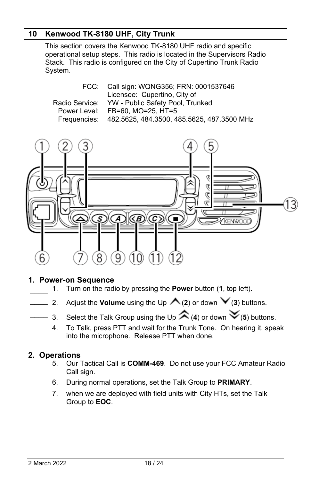# **10 Kenwood TK-8180 UHF, City Trunk**

This section covers the Kenwood TK-8180 UHF radio and specific operational setup steps. This radio is located in the Supervisors Radio Stack. This radio is configured on the City of Cupertino Trunk Radio System.

| FCC: Call sign: WQNG356; FRN: 0001537646                |
|---------------------------------------------------------|
| Licensee: Cupertino, City of                            |
| Radio Service: YW - Public Safety Pool, Trunked         |
| Power Level: FB=60, MO=25, HT=5                         |
| Frequencies: 482.5625, 484.3500, 485.5625, 487.3500 MHz |



#### **1. Power-on Sequence**

- \_\_\_\_ 1. Turn on the radio by pressing the **Power** button (**1**, top left).
- $\frac{1}{2}$  2. Adjust the **Volume** using the Up  $\bigwedge$  (2) or down  $\bigvee$  (3) buttons.
	- $\rightarrow$  3. Select the Talk Group using the Up  $\hat{\rightleftharpoons}$  (4) or down  $\check{\checkmark}$  (5) buttons.
		- 4. To Talk, press PTT and wait for the Trunk Tone. On hearing it, speak into the microphone. Release PTT when done.

## **2. Operations**

- \_\_\_\_ 5. Our Tactical Call is **COMM-469**. Do not use your FCC Amateur Radio Call sign.
- 6. During normal operations, set the Talk Group to **PRIMARY**.
- 7. when we are deployed with field units with City HTs, set the Talk Group to **EOC**.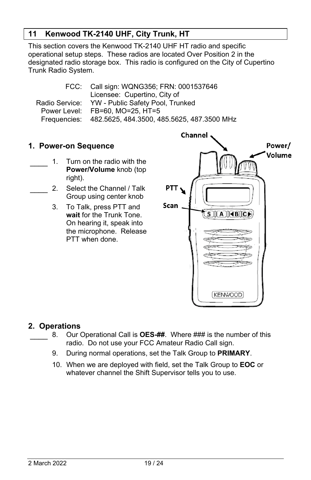# **11 Kenwood TK-2140 UHF, City Trunk, HT**

This section covers the Kenwood TK-2140 UHF HT radio and specific operational setup steps. These radios are located Over Position 2 in the designated radio storage box. This radio is configured on the City of Cupertino Trunk Radio System.

| FCC: Call sign: WQNG356; FRN: 0001537646                |
|---------------------------------------------------------|
| Licensee: Cupertino, City of                            |
| Radio Service: YW - Public Safety Pool, Trunked         |
| Power Level: FB=60, MO=25, HT=5                         |
| Frequencies: 482.5625, 484.3500, 485.5625, 487.3500 MHz |

# **1. Power-on Sequence**

- 1. Turn on the radio with the **Power/Volume** knob (top right).
- 2. Select the Channel / Talk Group using center knob
	- 3. To Talk, press PTT and **wait** for the Trunk Tone. On hearing it, speak into the microphone. Release PTT when done.



## **2. Operations**

- \_\_\_\_ 8. Our Operational Call is **OES-##**. Where ### is the number of this radio. Do not use your FCC Amateur Radio Call sign.
- 9. During normal operations, set the Talk Group to **PRIMARY**.
- 10. When we are deployed with field, set the Talk Group to **EOC** or whatever channel the Shift Supervisor tells you to use.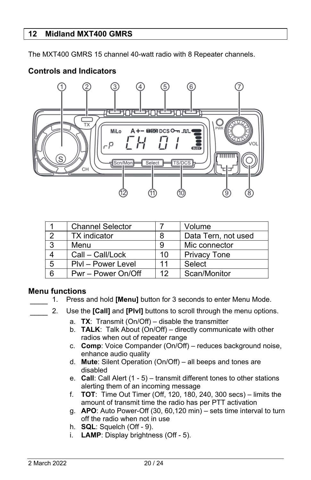# **12 Midland MXT400 GMRS**

**Controls and Indicators** 

The MXT400 GMRS 15 channel 40-watt radio with 8 Repeater channels.

# relanrel <u>Flandelande</u> тy A+-DRODCSO-DJUL MiLo p **RUSY** Scn/Mon Select **TS/DCS** CH. 8

|                | <b>Channel Selector</b> |    | Volume              |
|----------------|-------------------------|----|---------------------|
| - 2            | <b>TX</b> indicator     | 8  | Data Tern, not used |
| $\mathbf{3}$   | Menu                    |    | Mic connector       |
|                | Call - Call/Lock        | 10 | <b>Privacy Tone</b> |
| 5              | Plvl – Power Level      | 11 | Select              |
| $\overline{6}$ | Pwr - Power On/Off      | 12 | Scan/Monitor        |

# **Menu functions**

1. Press and hold **[Menu]** button for 3 seconds to enter Menu Mode.

- \_\_\_\_ 2. Use the **[Call]** and **[Plvl]** buttons to scroll through the menu options.
	- a. **TX**: Transmit (On/Off) disable the transmitter
	- b. **TALK**: Talk About (On/Off) directly communicate with other radios when out of repeater range
	- c. **Comp**: Voice Compander (On/Off) reduces background noise, enhance audio quality
	- d. **Mute**: Silent Operation (On/Off) all beeps and tones are disabled
	- e. **Call**: Call Alert (1 5) transmit different tones to other stations alerting them of an incoming message
	- f. **TOT**: Time Out Timer (Off, 120, 180, 240, 300 secs) limits the amount of transmit time the radio has per PTT activation
	- g. **APO**: Auto Power-Off (30, 60,120 min) sets time interval to turn off the radio when not in use
	- h. **SQL**: Squelch (Off 9).
	- i. **LAMP**: Display brightness (Off 5).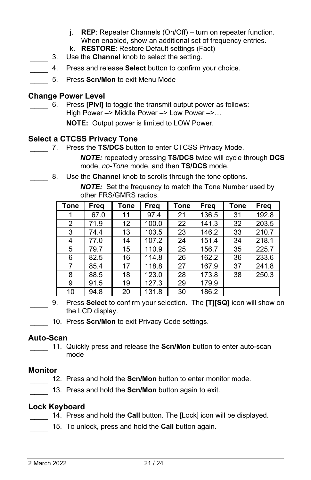- j. **REP**: Repeater Channels (On/Off) turn on repeater function. When enabled, show an additional set of frequency entries.
- k. **RESTORE**: Restore Default settings (Fact)
- \_\_\_\_ 3. Use the **Channel** knob to select the setting.
- \_\_\_\_ 4. Press and release **Select** button to confirm your choice.
- \_\_\_\_ 5. Press **Scn/Mon** to exit Menu Mode

# **Change Power Level**

6. Press **[Plvl]** to toggle the transmit output power as follows: High Power –> Middle Power –> Low Power –>…

**NOTE:** Output power is limited to LOW Power.

# **Select a CTCSS Privacy Tone**

7. Press the TS/DCS button to enter CTCSS Privacy Mode.

*NOTE:* repeatedly pressing **TS/DCS** twice will cycle through **DCS** mode, *no-Tone* mode, and then **TS/DCS** mode.

8. Use the **Channel** knob to scrolls through the tone options.

*NOTE:* Set the frequency to match the Tone Number used by other FRS/GMRS radios.

| Tone           | Freq | Tone | Freq  | <b>Tone</b> | Freq  | Tone | <b>Freq</b> |
|----------------|------|------|-------|-------------|-------|------|-------------|
|                | 67.0 | 11   | 97.4  | 21          | 136.5 | 31   | 192.8       |
| $\overline{2}$ | 71.9 | 12   | 100.0 | 22          | 141.3 | 32   | 203.5       |
| 3              | 74.4 | 13   | 103.5 | 23          | 146.2 | 33   | 210.7       |
| 4              | 77.0 | 14   | 107.2 | 24          | 151.4 | 34   | 218.1       |
| 5              | 79.7 | 15   | 110.9 | 25          | 156.7 | 35   | 225.7       |
| 6              | 82.5 | 16   | 114.8 | 26          | 162.2 | 36   | 233.6       |
| 7              | 85.4 | 17   | 118.8 | 27          | 167.9 | 37   | 241.8       |
| 8              | 88.5 | 18   | 123.0 | 28          | 173.8 | 38   | 250.3       |
| 9              | 91.5 | 19   | 127.3 | 29          | 179.9 |      |             |
| 10             | 94.8 | 20   | 131.8 | 30          | 186.2 |      |             |

- \_\_\_\_ 9. Press **Select** to confirm your selection. The **[T][SQ]** icon will show on the LCD display.
	- 10. Press **Scn/Mon** to exit Privacy Code settings.

# **Auto-Scan**

11. Quickly press and release the **Scn/Mon** button to enter auto-scan mode

## **Monitor**

- 12. Press and hold the **Scn/Mon** button to enter monitor mode.
- 13. Press and hold the **Scn/Mon** button again to exit.

## **Lock Keyboard**

- 14. Press and hold the **Call** button. The [Lock] icon will be displayed.
	- 15. To unlock, press and hold the **Call** button again.